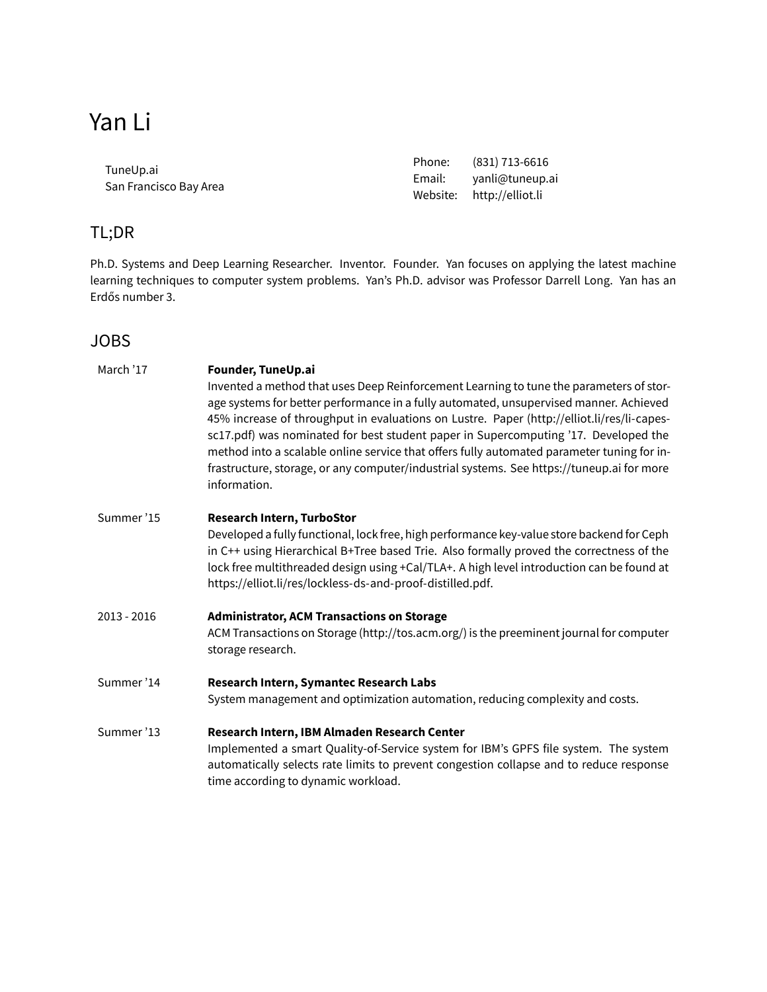| TuneUp.ai              | Phone: | (831) 713-6616            |
|------------------------|--------|---------------------------|
| San Francisco Bay Area |        | Email: yanli@tuneup.ai    |
|                        |        | Website: http://elliot.li |

# TL;DR

Ph.D. Systems and Deep Learning Researcher. Inventor. Founder. Yan focuses on applying the latest machine learning techniques to computer system problems. Yan's Ph.D. advisor was [Professor Darrell Long.](https://users.soe.ucsc.edu/~darrell/index.html) Yan has an Erdős number 3.

# JOBS

| March '17   | Founder, TuneUp.ai<br>Invented a method that uses Deep Reinforcement Learning to tune the parameters of stor-<br>age systems for better performance in a fully automated, unsupervised manner. Achieved<br>45% increase of throughput in evaluations on Lustre. Paper (http://elliot.li/res/li-capes-<br>sc17.pdf) was nominated for best student paper in Supercomputing '17. Developed the<br>method into a scalable online service that offers fully automated parameter tuning for in-<br>frastructure, storage, or any computer/industrial systems. See https://tuneup.ai for more<br>information. |
|-------------|---------------------------------------------------------------------------------------------------------------------------------------------------------------------------------------------------------------------------------------------------------------------------------------------------------------------------------------------------------------------------------------------------------------------------------------------------------------------------------------------------------------------------------------------------------------------------------------------------------|
| Summer'15   | Research Intern, TurboStor<br>Developed a fully functional, lock free, high performance key-value store backend for Ceph<br>in C++ using Hierarchical B+Tree based Trie. Also formally proved the correctness of the<br>lock free multithreaded design using +Cal/TLA+. A high level introduction can be found at<br>https://elliot.li/res/lockless-ds-and-proof-distilled.pdf.                                                                                                                                                                                                                         |
| 2013 - 2016 | <b>Administrator, ACM Transactions on Storage</b><br>ACM Transactions on Storage (http://tos.acm.org/) is the preeminent journal for computer<br>storage research.                                                                                                                                                                                                                                                                                                                                                                                                                                      |
| Summer'14   | Research Intern, Symantec Research Labs<br>System management and optimization automation, reducing complexity and costs.                                                                                                                                                                                                                                                                                                                                                                                                                                                                                |
| Summer'13   | Research Intern, IBM Almaden Research Center<br>Implemented a smart Quality-of-Service system for IBM's GPFS file system. The system<br>automatically selects rate limits to prevent congestion collapse and to reduce response<br>time according to dynamic workload.                                                                                                                                                                                                                                                                                                                                  |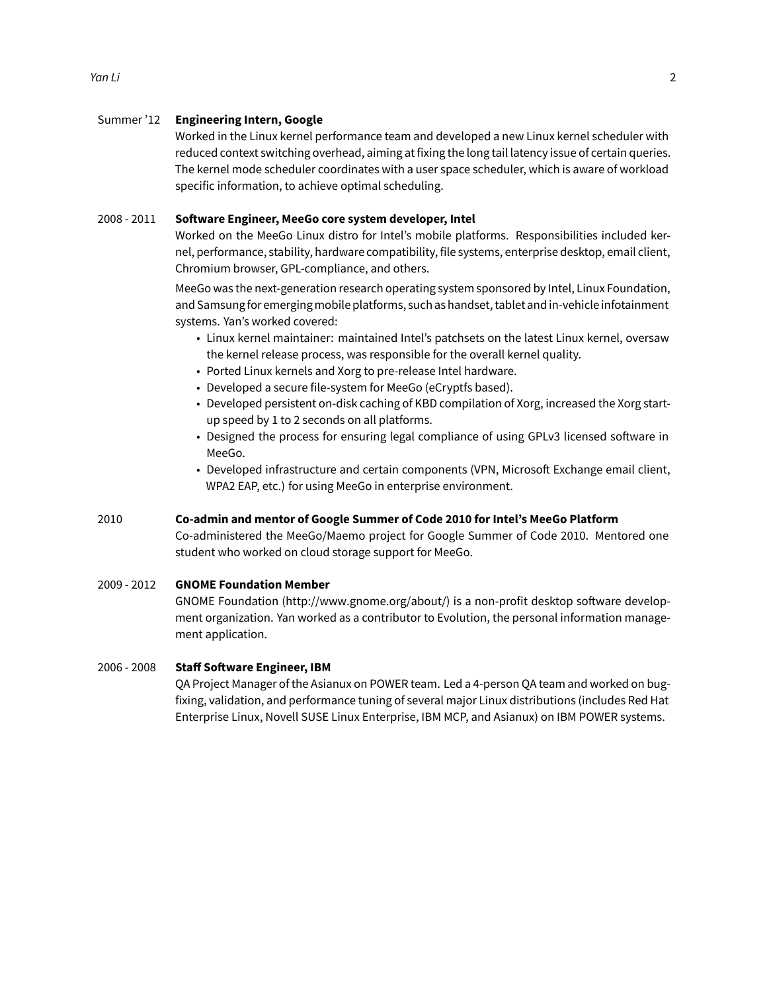#### Summer '12 **Engineering Intern, Google**

Worked in the Linux kernel performance team and developed a new Linux kernel scheduler with reduced context switching overhead, aiming at fixing the long tail latency issue of certain queries. The kernel mode scheduler coordinates with a user space scheduler, which is aware of workload specific information, to achieve optimal scheduling.

#### 2008 - 2011 **Software Engineer, MeeGo core system developer, Intel**

Worked on the MeeGo Linux distro for Intel's mobile platforms. Responsibilities included kernel, performance, stability, hardware compatibility, file systems, enterprise desktop, email client, Chromium browser, GPL-compliance, and others.

MeeGo was the next-generation research operating system sponsored by Intel, Linux Foundation, and Samsungfor emergingmobile platforms, such as handset, tablet and in-vehicle infotainment systems. Yan's worked covered:

- Linux kernel maintainer: maintained Intel's patchsets on the latest Linux kernel, oversaw the kernel release process, was responsible for the overall kernel quality.
- Ported Linux kernels and Xorg to pre-release Intel hardware.
- Developed a secure file-system for MeeGo (eCryptfs based).
- Developed persistent on-disk caching of KBD compilation of Xorg, increased the Xorg startup speed by 1 to 2 seconds on all platforms.
- Designed the process for ensuring legal compliance of using GPLv3 licensed software in MeeGo.
- Developed infrastructure and certain components (VPN, Microsoft Exchange email client, WPA2 EAP, etc.) for using MeeGo in enterprise environment.

#### 2010 **Co-admin and mentor of Google Summer of Code 2010 for Intel's MeeGo Platform**

Co-administered the MeeGo/Maemo project for Google Summer of Code 2010. Mentored one student who worked on cloud storage support for MeeGo.

#### 2009 - 2012 **GNOME Foundation Member**

GNOME Foundation [\(http://www.gnome.org/about/](http://www.gnome.org/about/)) is a non-profit desktop software development organization. Yan worked as a contributor to Evolution, the personal information management application.

#### 2006 - 2008 **Staff Software Engineer, IBM**

QA Project Manager of the Asianux on POWER team. Led a 4-person QA team and worked on bugfixing, validation, and performance tuning of several major Linux distributions (includes Red Hat Enterprise Linux, Novell SUSE Linux Enterprise, IBM MCP, and Asianux) on IBM POWER systems.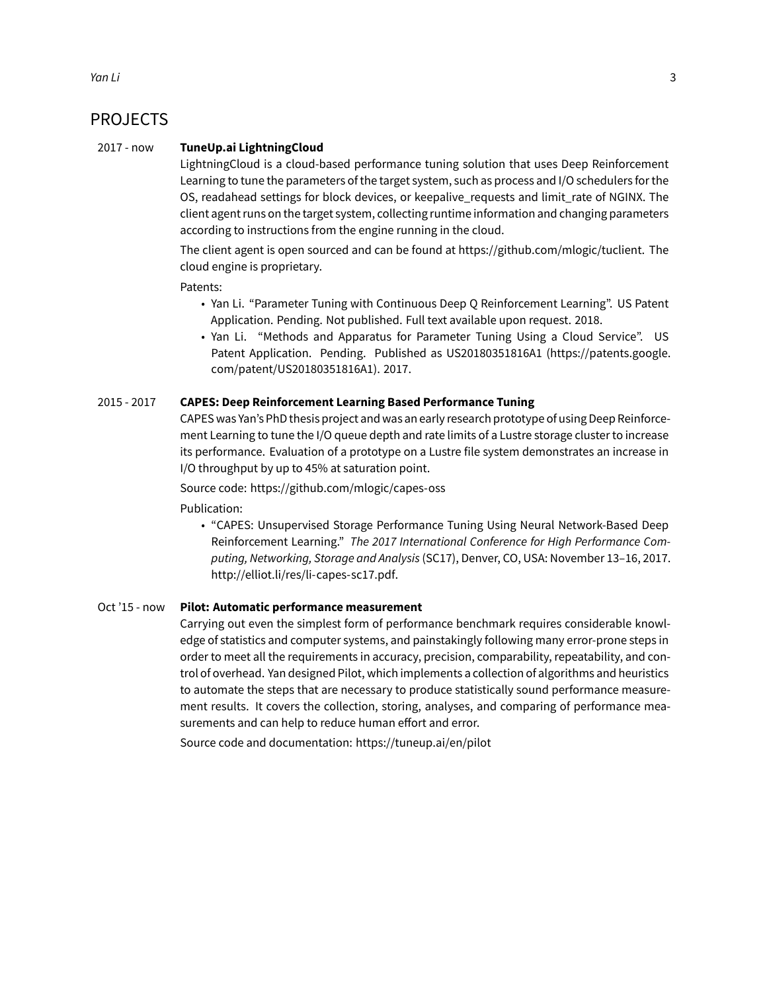### PROJECTS

#### 2017 - now **TuneUp.ai LightningCloud**

LightningCloud is a cloud-based performance tuning solution that uses Deep Reinforcement Learning to tune the parameters of the target system, such as process and I/O schedulers for the OS, readahead settings for block devices, or keepalive\_requests and limit\_rate of NGINX. The client agent runs on the target system, collecting runtime information and changing parameters according to instructions from the engine running in the cloud.

The client agent is open sourced and can be found at [https://github.com/mlogic/tuclient.](https://github.com/mlogic/tuclient) The cloud engine is proprietary.

Patents:

- Yan Li. "Parameter Tuning with Continuous Deep Q Reinforcement Learning". US Patent Application. Pending. Not published. Full text available upon request. 2018.
- Yan Li. "Methods and Apparatus for Parameter Tuning Using a Cloud Service". US Patent Application. Pending. Published as US20180351816A1 [\(https://patents.google.](https://patents.google.com/patent/US20180351816A1) [com/patent/US20180351816A1](https://patents.google.com/patent/US20180351816A1)). 2017.

#### 2015 - 2017 **CAPES: Deep Reinforcement Learning Based Performance Tuning**

CAPES was Yan's PhD thesis project and was an early research prototype of using Deep Reinforcement Learning to tune the I/O queue depth and rate limits of a Lustre storage cluster to increase its performance. Evaluation of a prototype on a Lustre file system demonstrates an increase in I/O throughput by up to 45% at saturation point.

Source code: <https://github.com/mlogic/capes-oss>

Publication:

• "CAPES: Unsupervised Storage Performance Tuning Using Neural Network-Based Deep Reinforcement Learning." *[The 2017 International Conference for High Performance Com](http://sc17.supercomputing.org/)[puting, Networking, Storage and Analysis](http://sc17.supercomputing.org/)* (SC17), Denver, CO, USA: November 13–16, 2017. [http://elliot.li/res/li-capes-sc17.pdf.](http://elliot.li/res/li-capes-sc17.pdf)

#### Oct '15 - now **Pilot: Automatic performance measurement**

Carrying out even the simplest form of performance benchmark requires considerable knowledge of statistics and computer systems, and painstakingly following many error-prone steps in order to meet all the requirements in accuracy, precision, comparability, repeatability, and control of overhead. Yan designed Pilot, which implements a collection of algorithms and heuristics to automate the steps that are necessary to produce statistically sound performance measurement results. It covers the collection, storing, analyses, and comparing of performance measurements and can help to reduce human effort and error.

Source code and documentation: <https://tuneup.ai/en/pilot>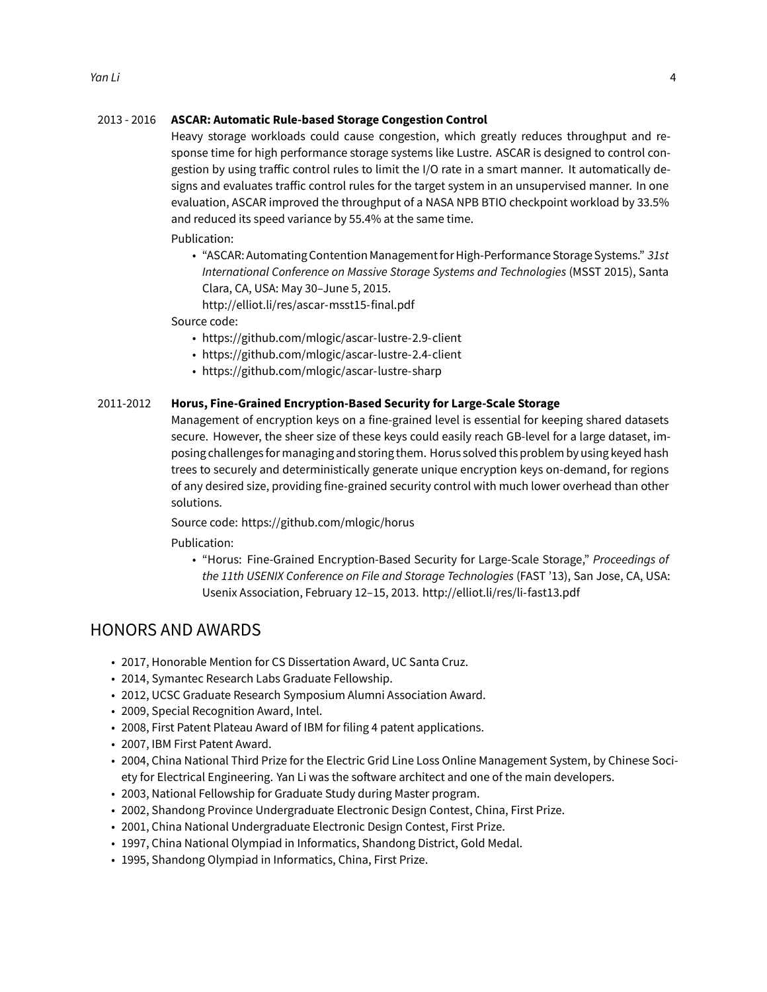#### 2013 - 2016 **ASCAR: Automatic Rule-based Storage Congestion Control**

Heavy storage workloads could cause congestion, which greatly reduces throughput and response time for high performance storage systems like Lustre. ASCAR is designed to control congestion by using traffic control rules to limit the I/O rate in a smart manner. It automatically designs and evaluates traffic control rules for the target system in an unsupervised manner. In one evaluation, ASCAR improved the throughput of a NASA NPB BTIO checkpoint workload by 33.5% and reduced its speed variance by 55.4% at the same time.

Publication:

• "ASCAR: Automating Contention Managementfor High-Performance Storage Systems." *[31st](http://storageconference.us) [International Conference on Massive Storage Systems and Technologies](http://storageconference.us)* (MSST 2015), Santa Clara, CA, USA: May 30–June 5, 2015.

<http://elliot.li/res/ascar-msst15-final.pdf>

Source code:

- <https://github.com/mlogic/ascar-lustre-2.9-client>
- <https://github.com/mlogic/ascar-lustre-2.4-client>
- <https://github.com/mlogic/ascar-lustre-sharp>

#### 2011-2012 **Horus, Fine-Grained Encryption-Based Security for Large-Scale Storage**

Management of encryption keys on a fine-grained level is essential for keeping shared datasets secure. However, the sheer size of these keys could easily reach GB-level for a large dataset, imposing challenges for managing and storing them. Horus solved this problem by using keyed hash trees to securely and deterministically generate unique encryption keys on-demand, for regions of any desired size, providing fine-grained security control with much lower overhead than other solutions.

Source code: <https://github.com/mlogic/horus>

Publication:

• "Horus: Fine-Grained Encryption-Based Security for Large-Scale Storage," *[Proceedings of](http://elliot.li/res/li-fast13.pdf) [the 11th USENIX Conference on File and Storage Technologies](http://elliot.li/res/li-fast13.pdf)* (FAST '13), San Jose, CA, USA: Usenix Association, February 12–15, 2013. <http://elliot.li/res/li-fast13.pdf>

### HONORS AND AWARDS

- 2017, Honorable Mention for CS Dissertation Award, UC Santa Cruz.
- 2014, [Symantec Research Labs Graduate Fellowship](http://www.symantec.com/about/careers/college/fellowship.jsp).
- 2012, UCSC Graduate Research Symposium Alumni Association Award.
- 2009, Special Recognition Award, Intel.
- 2008, First Patent Plateau Award of IBM for filing 4 patent applications.
- 2007, IBM First Patent Award.
- 2004, China National Third Prize for the Electric Grid Line Loss Online Management System, by Chinese Society for Electrical Engineering. Yan Li was the software architect and one of the main developers.
- 2003, National Fellowship for Graduate Study during Master program.
- 2002, Shandong Province Undergraduate Electronic Design Contest, China, First Prize.
- 2001, China National Undergraduate Electronic Design Contest, First Prize.
- 1997, China National Olympiad in Informatics, Shandong District, Gold Medal.
- 1995, Shandong Olympiad in Informatics, China, First Prize.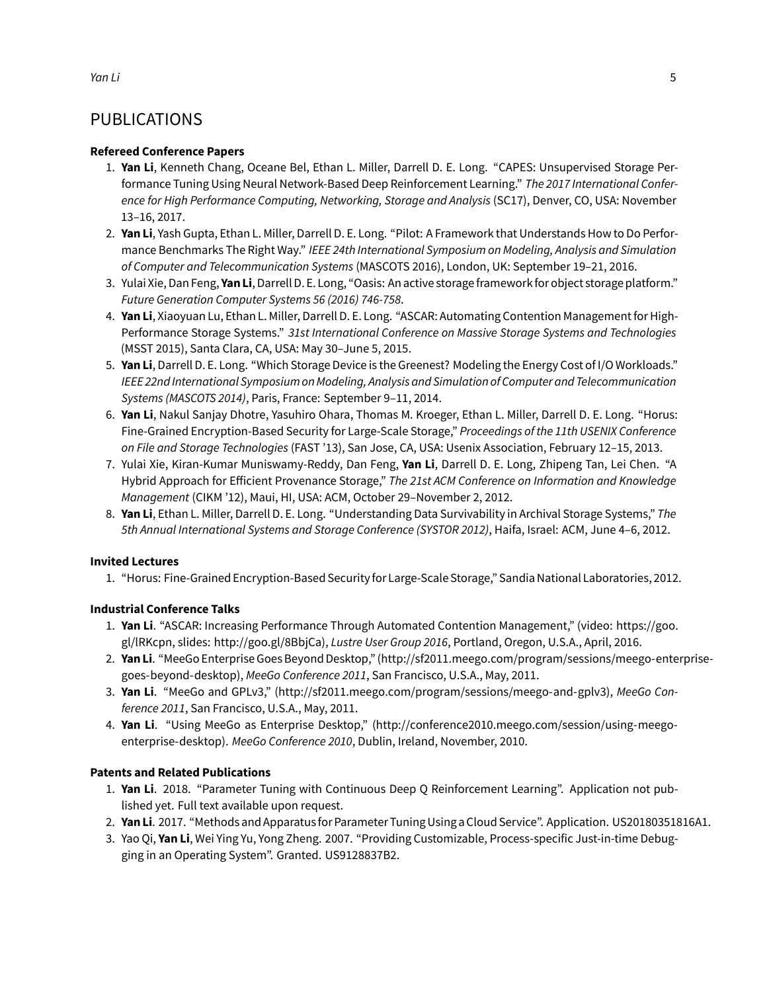## PUBLICATIONS

#### **Refereed Conference Papers**

- 1. **Yan Li**, Kenneth Chang, Oceane Bel, Ethan L. Miller, Darrell D. E. Long. ["CAPES: Unsupervised Storage Per](http://elliot.li/res/li-capes-sc17.pdf)[formance Tuning Using Neural Network-Based Deep Reinforcement Learning."](http://elliot.li/res/li-capes-sc17.pdf) *The 2017 International Confer[ence for High Performance Computing, Networking, Storage and Analysis](http://elliot.li/res/li-capes-sc17.pdf)* (SC17), Denver, CO, USA: November [13–16, 2017.](http://elliot.li/res/li-capes-sc17.pdf)
- 2. **Yan Li**, Yash Gupta, Ethan L. Miller, Darrell D. E. Long. ["Pilot: A Framework that Understands How to Do Perfor](https://download.tuneup.ai/s/pilot-mascots16-final2.pdf)mance Benchmarks The Right Way." *[IEEE 24th International Symposium on Modeling, Analysis and Simulation](https://download.tuneup.ai/s/pilot-mascots16-final2.pdf) of Computer and Telecommunication Systems* [\(MASCOTS 2016\), London, UK: September 19–21, 2016.](https://download.tuneup.ai/s/pilot-mascots16-final2.pdf)
- 3. Yulai Xie, Dan Feng, **YanLi**, Darrell D. E. Long, ["Oasis: An active storageframeworkfor object storage platform."](http://elliot.li/res/oasis.pdf) *[Future Generation Computer Systems 56 \(2016\) 746-758](http://elliot.li/res/oasis.pdf)*.
- 4. **Yan Li**, Xiaoyuan Lu, Ethan L. Miller, Darrell D. E. Long. ["ASCAR: Automating Contention Management for High-](http://elliot.li/res/ascar-msst15-final.pdf)Performance Storage Systems." *[31st International Conference on Massive Storage Systems and Technologies](http://elliot.li/res/ascar-msst15-final.pdf)* [\(MSST 2015\), Santa Clara, CA, USA: May 30–June 5, 2015.](http://elliot.li/res/ascar-msst15-final.pdf)
- 5. **Yan Li**, Darrell D. E. Long. ["Which Storage Device is the Greenest? Modeling the Energy Cost of I/O Workloads."](https://www.ssrc.ucsc.edu/media/pubs/7d16df559585d26c07cea39fb6fe33503007438a.pdf) *[IEEE 22nd International Symposium on Modeling, Analysis and Simulation of Computer and Telecommunication](https://www.ssrc.ucsc.edu/media/pubs/7d16df559585d26c07cea39fb6fe33503007438a.pdf) Systems (MASCOTS 2014)*[, Paris, France: September 9–11, 2014.](https://www.ssrc.ucsc.edu/media/pubs/7d16df559585d26c07cea39fb6fe33503007438a.pdf)
- 6. **Yan Li**, Nakul Sanjay Dhotre, Yasuhiro Ohara, Thomas M. Kroeger, Ethan L. Miller, Darrell D. E. Long. ["Horus:](http://elliot.li/res/li-fast13.pdf) [Fine-Grained Encryption-Based Security for Large-Scale Storage,"](http://elliot.li/res/li-fast13.pdf) *Proceedings of the 11th USENIX Conference on File and Storage Technologies* [\(FAST '13\), San Jose, CA, USA: Usenix Association, February 12–15, 2013.](http://elliot.li/res/li-fast13.pdf)
- 7. Yulai Xie, Kiran-Kumar Muniswamy-Reddy, Dan Feng, **Yan Li**, Darrell D. E. Long, Zhipeng Tan, Lei Chen. ["A](https://www.ssrc.ucsc.edu/media/pubs/1c86fd98ff7b0fe1da0298746532ce56be7914f3.pdf) Hybrid Approach for Efficient Provenance Storage," *[The 21st ACM Conference on Information and Knowledge](https://www.ssrc.ucsc.edu/media/pubs/1c86fd98ff7b0fe1da0298746532ce56be7914f3.pdf) Management* [\(CIKM '12\), Maui, HI, USA: ACM, October 29–November 2, 2012.](https://www.ssrc.ucsc.edu/media/pubs/1c86fd98ff7b0fe1da0298746532ce56be7914f3.pdf)
- 8. **Yan Li**, Ethan L. Miller, Darrell D. E. Long. ["Understanding Data Survivability in Archival Storage Systems,"](https://www.ssrc.ucsc.edu/media/pubs/c04e8b892951f611c68dbac99c342c5b0505285c.pdf) *The [5th Annual International Systems and Storage Conference \(SYSTOR 2012\)](https://www.ssrc.ucsc.edu/media/pubs/c04e8b892951f611c68dbac99c342c5b0505285c.pdf)*, Haifa, Israel: ACM, June 4–6, 2012.

#### **Invited Lectures**

1. "Horus: Fine-Grained Encryption-Based Securityfor Large-Scale Storage," Sandia National Laboratories, 2012.

#### **Industrial Conference Talks**

- 1. **Yan Li**. "ASCAR: Increasing Performance Through Automated Contention Management," (video: [https://goo.](https://goo.gl/lRKcpn) [gl/lRKcpn](https://goo.gl/lRKcpn), slides: [http://goo.gl/8BbjCa\)](http://goo.gl/8BbjCa), *Lustre User Group 2016*, Portland, Oregon, U.S.A., April, 2016.
- 2. **YanLi**. "MeeGo Enterprise Goes Beyond Desktop," [\(http://sf2011.meego.com/program/sessions/meego-enterprise](http://sf2011.meego.com/program/sessions/meego-enterprise-goes-beyond-desktop)[goes-beyond-desktop\)](http://sf2011.meego.com/program/sessions/meego-enterprise-goes-beyond-desktop), *MeeGo Conference 2011*, San Francisco, U.S.A., May, 2011.
- 3. **Yan Li**. "MeeGo and GPLv3," [\(http://sf2011.meego.com/program/sessions/meego-and-gplv3](http://sf2011.meego.com/program/sessions/meego-and-gplv3)), *MeeGo Conference 2011*, San Francisco, U.S.A., May, 2011.
- 4. **Yan Li**. "Using MeeGo as Enterprise Desktop," [\(http://conference2010.meego.com/session/using-meego](http://conference2010.meego.com/session/using-meego-enterprise-desktop)[enterprise-desktop](http://conference2010.meego.com/session/using-meego-enterprise-desktop)). *MeeGo Conference 2010*, Dublin, Ireland, November, 2010.

#### **Patents and Related Publications**

- 1. **Yan Li**. 2018. "Parameter Tuning with Continuous Deep Q Reinforcement Learning". Application not published yet. Full text available upon request.
- 2. **YanLi**. 2017. ["Methods and Apparatusfor Parameter Tuning Using a Cloud Service". Application. US20180351816A1.](https://patents.google.com/patent/US20180351816A1)
- 3. Yao Qi, **Yan Li**, Wei Ying Yu, Yong Zheng. 2007. ["Providing Customizable, Process-specific Just-in-time Debug](https://patents.google.com/patent/US9128837B2)[ging in an Operating System". Granted. US9128837B2.](https://patents.google.com/patent/US9128837B2)